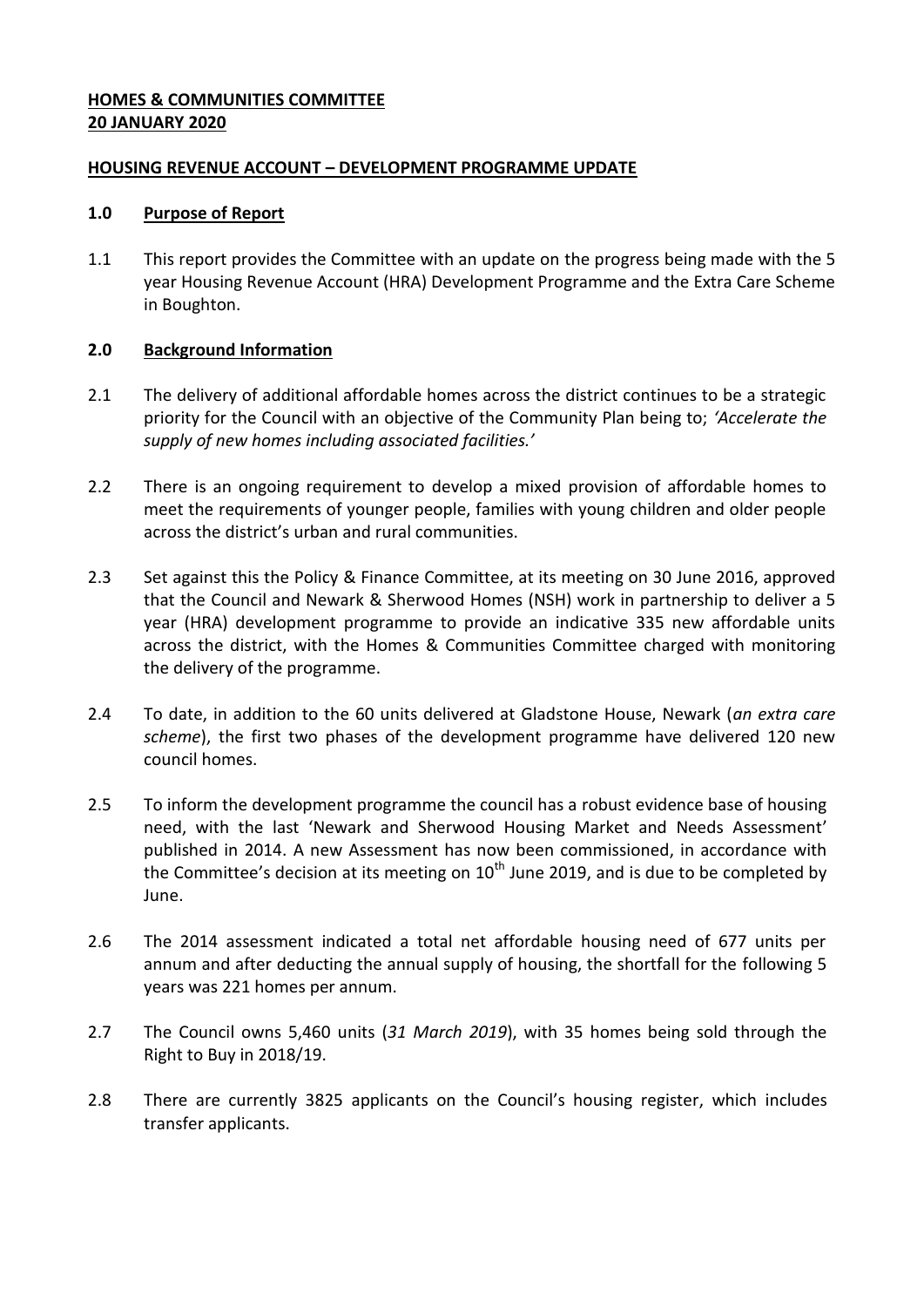## **HOMES & COMMUNITIES COMMITTEE 20 JANUARY 2020**

#### **HOUSING REVENUE ACCOUNT – DEVELOPMENT PROGRAMME UPDATE**

#### **1.0 Purpose of Report**

1.1 This report provides the Committee with an update on the progress being made with the 5 year Housing Revenue Account (HRA) Development Programme and the Extra Care Scheme in Boughton.

## **2.0 Background Information**

- 2.1 The delivery of additional affordable homes across the district continues to be a strategic priority for the Council with an objective of the Community Plan being to; *'Accelerate the supply of new homes including associated facilities.'*
- 2.2 There is an ongoing requirement to develop a mixed provision of affordable homes to meet the requirements of younger people, families with young children and older people across the district's urban and rural communities.
- 2.3 Set against this the Policy & Finance Committee, at its meeting on 30 June 2016, approved that the Council and Newark & Sherwood Homes (NSH) work in partnership to deliver a 5 year (HRA) development programme to provide an indicative 335 new affordable units across the district, with the Homes & Communities Committee charged with monitoring the delivery of the programme.
- 2.4 To date, in addition to the 60 units delivered at Gladstone House, Newark (*an extra care scheme*), the first two phases of the development programme have delivered 120 new council homes.
- 2.5 To inform the development programme the council has a robust evidence base of housing need, with the last 'Newark and Sherwood Housing Market and Needs Assessment' published in 2014. A new Assessment has now been commissioned, in accordance with the Committee's decision at its meeting on  $10^{th}$  June 2019, and is due to be completed by June.
- 2.6 The 2014 assessment indicated a total net affordable housing need of 677 units per annum and after deducting the annual supply of housing, the shortfall for the following 5 years was 221 homes per annum.
- 2.7 The Council owns 5,460 units (*31 March 2019*), with 35 homes being sold through the Right to Buy in 2018/19.
- 2.8 There are currently 3825 applicants on the Council's housing register, which includes transfer applicants.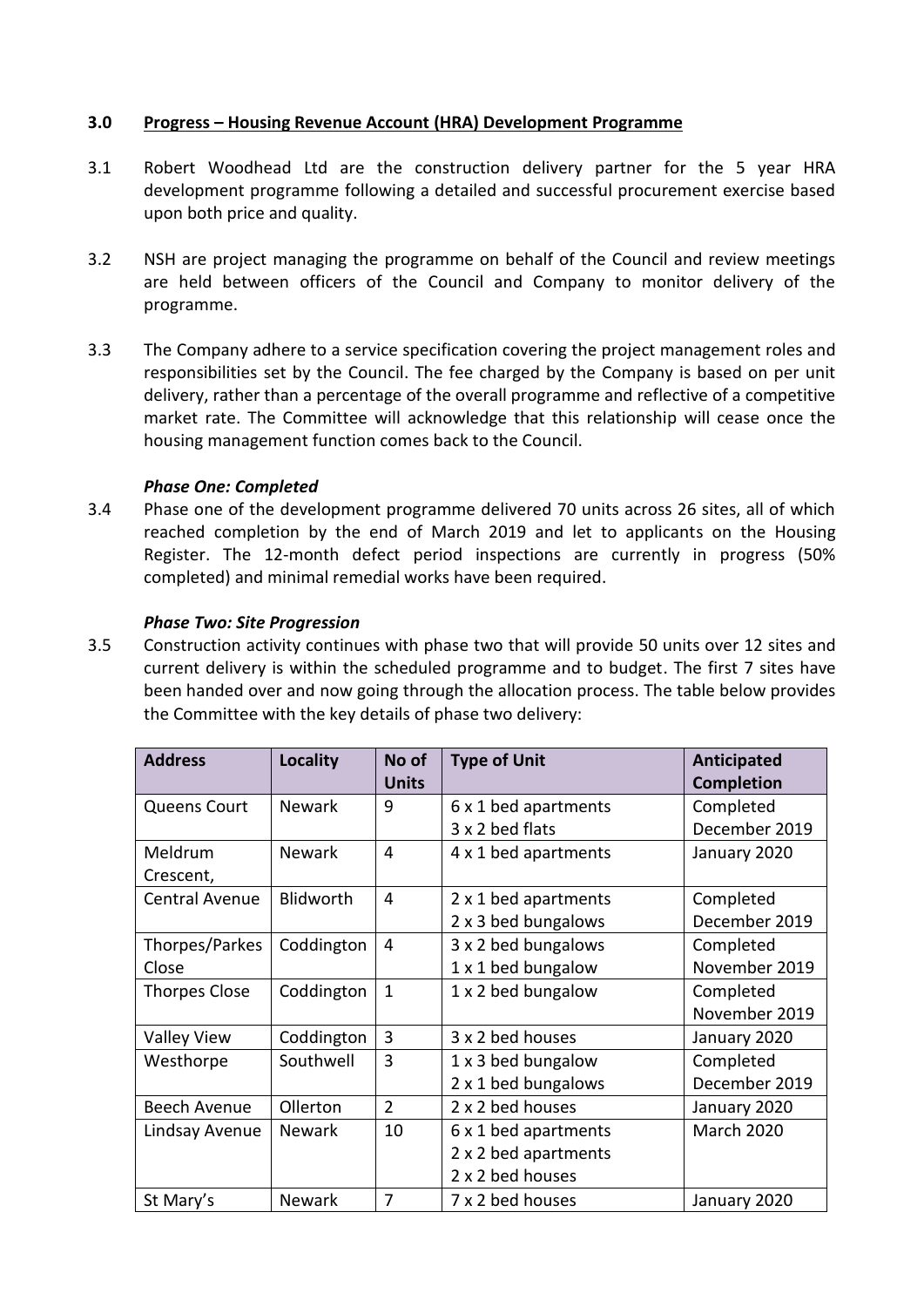## **3.0 Progress – Housing Revenue Account (HRA) Development Programme**

- 3.1 Robert Woodhead Ltd are the construction delivery partner for the 5 year HRA development programme following a detailed and successful procurement exercise based upon both price and quality.
- 3.2 NSH are project managing the programme on behalf of the Council and review meetings are held between officers of the Council and Company to monitor delivery of the programme.
- 3.3 The Company adhere to a service specification covering the project management roles and responsibilities set by the Council. The fee charged by the Company is based on per unit delivery, rather than a percentage of the overall programme and reflective of a competitive market rate. The Committee will acknowledge that this relationship will cease once the housing management function comes back to the Council.

## *Phase One: Completed*

3.4 Phase one of the development programme delivered 70 units across 26 sites, all of which reached completion by the end of March 2019 and let to applicants on the Housing Register. The 12-month defect period inspections are currently in progress (50% completed) and minimal remedial works have been required.

#### *Phase Two: Site Progression*

3.5 Construction activity continues with phase two that will provide 50 units over 12 sites and current delivery is within the scheduled programme and to budget. The first 7 sites have been handed over and now going through the allocation process. The table below provides the Committee with the key details of phase two delivery:

| <b>Address</b>        | Locality      | No of<br><b>Units</b> | <b>Type of Unit</b>  | Anticipated<br><b>Completion</b> |
|-----------------------|---------------|-----------------------|----------------------|----------------------------------|
| <b>Queens Court</b>   | <b>Newark</b> | 9                     | 6 x 1 bed apartments | Completed                        |
|                       |               |                       | 3 x 2 bed flats      | December 2019                    |
| Meldrum               | <b>Newark</b> | $\overline{4}$        | 4 x 1 bed apartments | January 2020                     |
| Crescent,             |               |                       |                      |                                  |
| <b>Central Avenue</b> | Blidworth     | $\overline{4}$        | 2 x 1 bed apartments | Completed                        |
|                       |               |                       | 2 x 3 bed bungalows  | December 2019                    |
| Thorpes/Parkes        | Coddington    | $\overline{4}$        | 3 x 2 bed bungalows  | Completed                        |
| Close                 |               |                       | 1 x 1 bed bungalow   | November 2019                    |
| <b>Thorpes Close</b>  | Coddington    | $\mathbf{1}$          | 1 x 2 bed bungalow   | Completed                        |
|                       |               |                       |                      | November 2019                    |
| <b>Valley View</b>    | Coddington    | 3                     | 3 x 2 bed houses     | January 2020                     |
| Westhorpe             | Southwell     | 3                     | 1 x 3 bed bungalow   | Completed                        |
|                       |               |                       | 2 x 1 bed bungalows  | December 2019                    |
| <b>Beech Avenue</b>   | Ollerton      | $\overline{2}$        | 2 x 2 bed houses     | January 2020                     |
| Lindsay Avenue        | <b>Newark</b> | 10                    | 6 x 1 bed apartments | <b>March 2020</b>                |
|                       |               |                       | 2 x 2 bed apartments |                                  |
|                       |               |                       | 2 x 2 bed houses     |                                  |
| St Mary's             | <b>Newark</b> | 7                     | 7 x 2 bed houses     | January 2020                     |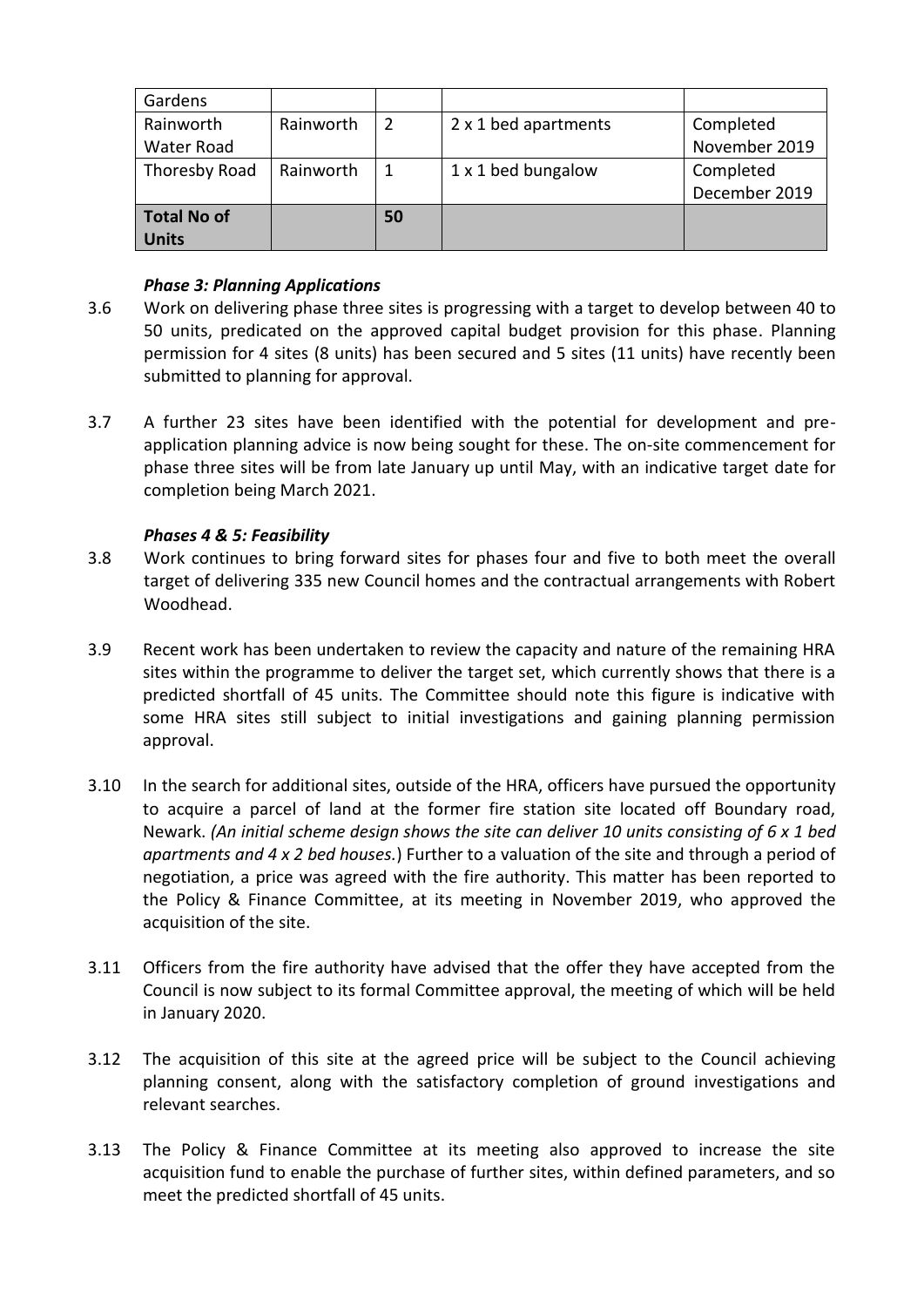| Gardens            |           |    |                      |               |  |
|--------------------|-----------|----|----------------------|---------------|--|
| Rainworth          | Rainworth | 2  | 2 x 1 bed apartments | Completed     |  |
| Water Road         |           |    |                      | November 2019 |  |
| Thoresby Road      | Rainworth |    | 1 x 1 bed bungalow   | Completed     |  |
|                    |           |    |                      | December 2019 |  |
| <b>Total No of</b> |           | 50 |                      |               |  |
| <b>Units</b>       |           |    |                      |               |  |

## *Phase 3: Planning Applications*

- 3.6 Work on delivering phase three sites is progressing with a target to develop between 40 to 50 units, predicated on the approved capital budget provision for this phase. Planning permission for 4 sites (8 units) has been secured and 5 sites (11 units) have recently been submitted to planning for approval.
- 3.7 A further 23 sites have been identified with the potential for development and preapplication planning advice is now being sought for these. The on-site commencement for phase three sites will be from late January up until May, with an indicative target date for completion being March 2021.

## *Phases 4 & 5: Feasibility*

- 3.8 Work continues to bring forward sites for phases four and five to both meet the overall target of delivering 335 new Council homes and the contractual arrangements with Robert Woodhead.
- 3.9 Recent work has been undertaken to review the capacity and nature of the remaining HRA sites within the programme to deliver the target set, which currently shows that there is a predicted shortfall of 45 units. The Committee should note this figure is indicative with some HRA sites still subject to initial investigations and gaining planning permission approval.
- 3.10 In the search for additional sites, outside of the HRA, officers have pursued the opportunity to acquire a parcel of land at the former fire station site located off Boundary road, Newark. *(An initial scheme design shows the site can deliver 10 units consisting of 6 x 1 bed apartments and 4 x 2 bed houses.*) Further to a valuation of the site and through a period of negotiation, a price was agreed with the fire authority. This matter has been reported to the Policy & Finance Committee, at its meeting in November 2019, who approved the acquisition of the site.
- 3.11 Officers from the fire authority have advised that the offer they have accepted from the Council is now subject to its formal Committee approval, the meeting of which will be held in January 2020.
- 3.12 The acquisition of this site at the agreed price will be subject to the Council achieving planning consent, along with the satisfactory completion of ground investigations and relevant searches.
- 3.13 The Policy & Finance Committee at its meeting also approved to increase the site acquisition fund to enable the purchase of further sites, within defined parameters, and so meet the predicted shortfall of 45 units.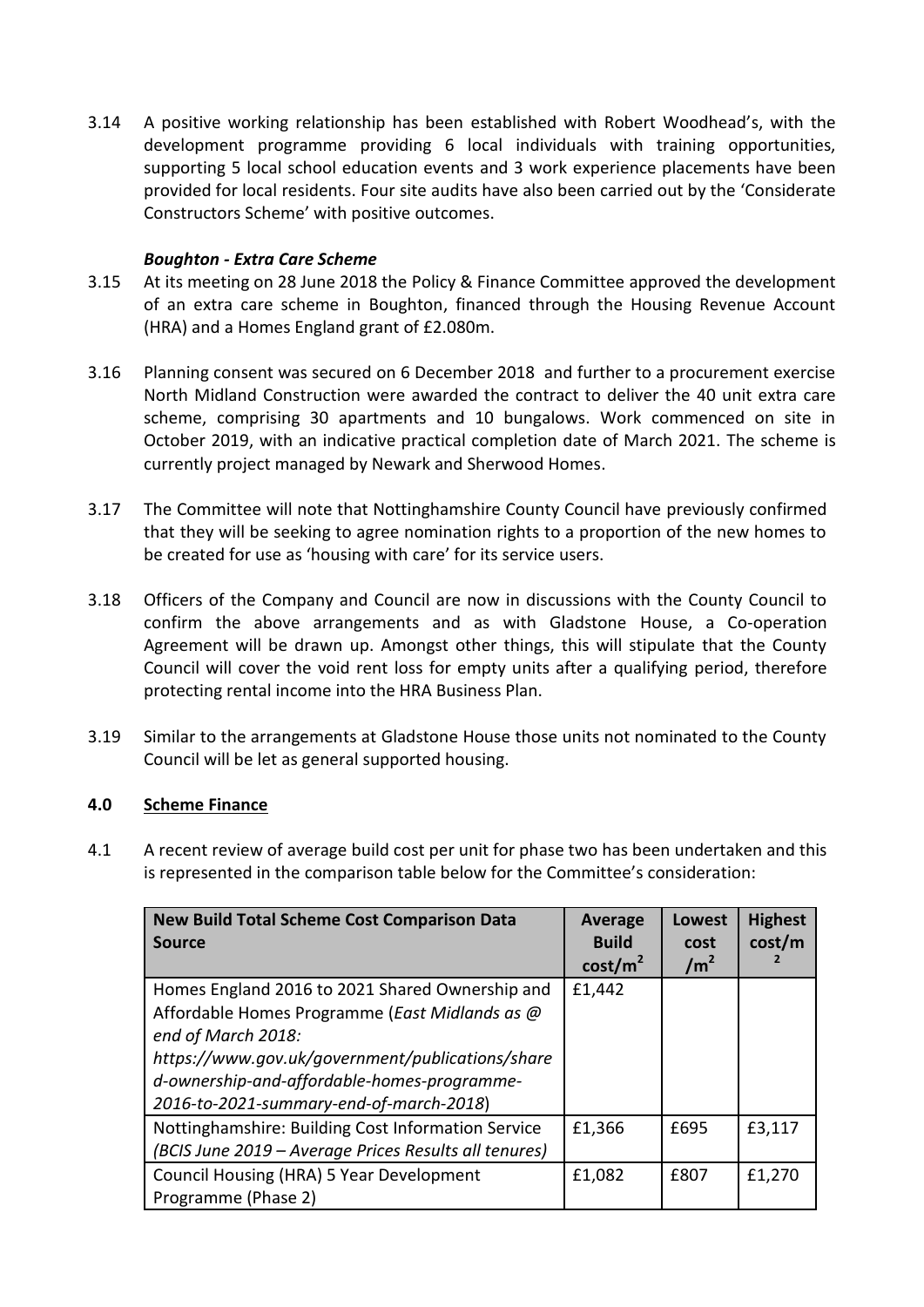3.14 A positive working relationship has been established with Robert Woodhead's, with the development programme providing 6 local individuals with training opportunities, supporting 5 local school education events and 3 work experience placements have been provided for local residents. Four site audits have also been carried out by the 'Considerate Constructors Scheme' with positive outcomes.

## *Boughton - Extra Care Scheme*

- 3.15 At its meeting on 28 June 2018 the Policy & Finance Committee approved the development of an extra care scheme in Boughton, financed through the Housing Revenue Account (HRA) and a Homes England grant of £2.080m.
- 3.16 Planning consent was secured on 6 December 2018 and further to a procurement exercise North Midland Construction were awarded the contract to deliver the 40 unit extra care scheme, comprising 30 apartments and 10 bungalows. Work commenced on site in October 2019, with an indicative practical completion date of March 2021. The scheme is currently project managed by Newark and Sherwood Homes.
- 3.17 The Committee will note that Nottinghamshire County Council have previously confirmed that they will be seeking to agree nomination rights to a proportion of the new homes to be created for use as 'housing with care' for its service users.
- 3.18 Officers of the Company and Council are now in discussions with the County Council to confirm the above arrangements and as with Gladstone House, a Co-operation Agreement will be drawn up. Amongst other things, this will stipulate that the County Council will cover the void rent loss for empty units after a qualifying period, therefore protecting rental income into the HRA Business Plan.
- 3.19 Similar to the arrangements at Gladstone House those units not nominated to the County Council will be let as general supported housing.

#### **4.0 Scheme Finance**

4.1 A recent review of average build cost per unit for phase two has been undertaken and this is represented in the comparison table below for the Committee's consideration:

| <b>New Build Total Scheme Cost Comparison Data</b><br><b>Source</b>                                         | <b>Average</b><br><b>Build</b><br>cost/m <sup>2</sup> | <b>Lowest</b><br>cost<br>$\text{/m}^2$ | <b>Highest</b><br>cost/m |
|-------------------------------------------------------------------------------------------------------------|-------------------------------------------------------|----------------------------------------|--------------------------|
| Homes England 2016 to 2021 Shared Ownership and<br>Affordable Homes Programme (East Midlands as @           | £1,442                                                |                                        |                          |
| end of March 2018:<br>https://www.gov.uk/government/publications/share                                      |                                                       |                                        |                          |
| d-ownership-and-affordable-homes-programme-<br>2016-to-2021-summary-end-of-march-2018)                      |                                                       |                                        |                          |
| Nottinghamshire: Building Cost Information Service<br>(BCIS June 2019 - Average Prices Results all tenures) | £1,366                                                | £695                                   | £3,117                   |
| Council Housing (HRA) 5 Year Development<br>Programme (Phase 2)                                             | £1,082                                                | £807                                   | £1,270                   |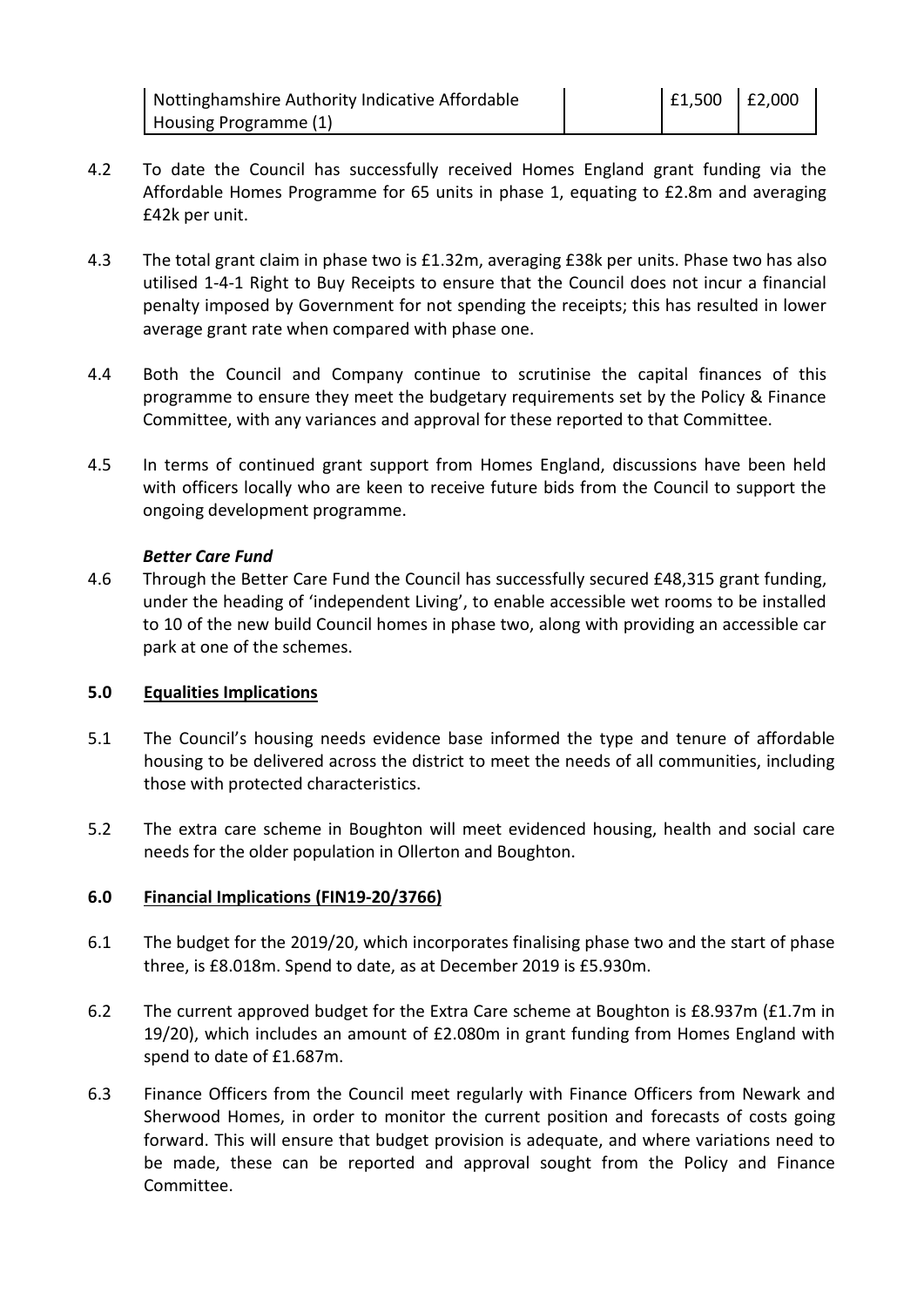Nottinghamshire Authority Indicative Affordable Housing Programme (1)

- 4.2 To date the Council has successfully received Homes England grant funding via the Affordable Homes Programme for 65 units in phase 1, equating to £2.8m and averaging £42k per unit.
- 4.3 The total grant claim in phase two is £1.32m, averaging £38k per units. Phase two has also utilised 1-4-1 Right to Buy Receipts to ensure that the Council does not incur a financial penalty imposed by Government for not spending the receipts; this has resulted in lower average grant rate when compared with phase one.
- 4.4 Both the Council and Company continue to scrutinise the capital finances of this programme to ensure they meet the budgetary requirements set by the Policy & Finance Committee, with any variances and approval for these reported to that Committee.
- 4.5 In terms of continued grant support from Homes England, discussions have been held with officers locally who are keen to receive future bids from the Council to support the ongoing development programme.

#### *Better Care Fund*

4.6 Through the Better Care Fund the Council has successfully secured £48,315 grant funding, under the heading of 'independent Living', to enable accessible wet rooms to be installed to 10 of the new build Council homes in phase two, along with providing an accessible car park at one of the schemes.

#### **5.0 Equalities Implications**

- 5.1 The Council's housing needs evidence base informed the type and tenure of affordable housing to be delivered across the district to meet the needs of all communities, including those with protected characteristics.
- 5.2 The extra care scheme in Boughton will meet evidenced housing, health and social care needs for the older population in Ollerton and Boughton.

# **6.0 Financial Implications (FIN19-20/3766)**

- 6.1 The budget for the 2019/20, which incorporates finalising phase two and the start of phase three, is £8.018m. Spend to date, as at December 2019 is £5.930m.
- 6.2 The current approved budget for the Extra Care scheme at Boughton is £8.937m (£1.7m in 19/20), which includes an amount of £2.080m in grant funding from Homes England with spend to date of £1.687m.
- 6.3 Finance Officers from the Council meet regularly with Finance Officers from Newark and Sherwood Homes, in order to monitor the current position and forecasts of costs going forward. This will ensure that budget provision is adequate, and where variations need to be made, these can be reported and approval sought from the Policy and Finance Committee.